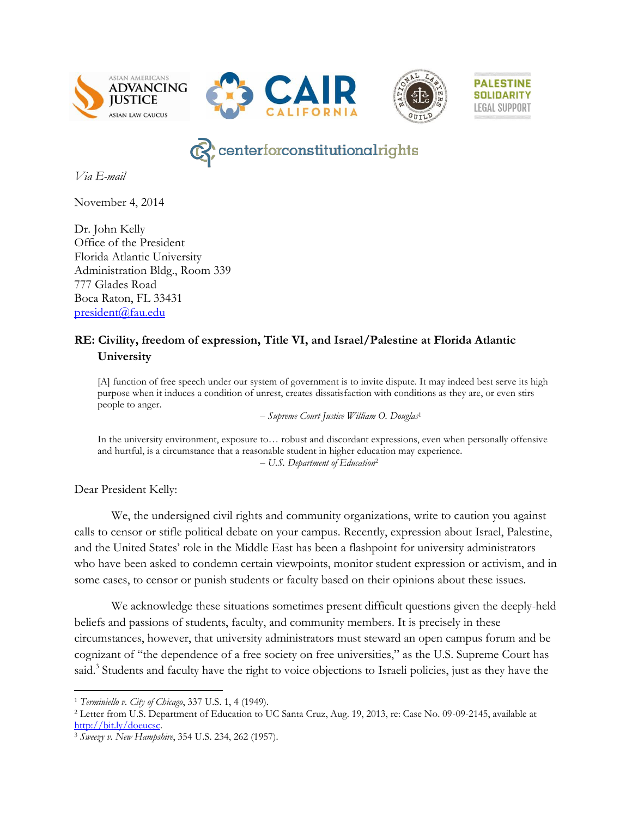





**PALESTINE** 

**SOLIDARITY** 

**LEGAL SUPPORT** 

# centerforconstitutionalrights

*Via E-mail*

November 4, 2014

Dr. John Kelly Office of the President Florida Atlantic University Administration Bldg., Room 339 777 Glades Road Boca Raton, FL 33431 [president@fau.edu](mailto:President@fau.edu)

#### **RE: Civility, freedom of expression, Title VI, and Israel/Palestine at Florida Atlantic University**

[A] function of free speech under our system of government is to invite dispute. It may indeed best serve its high purpose when it induces a condition of unrest, creates dissatisfaction with conditions as they are, or even stirs people to anger.

*– Supreme Court Justice William O. Douglas*<sup>1</sup>

In the university environment, exposure to… robust and discordant expressions, even when personally offensive and hurtful, is a circumstance that a reasonable student in higher education may experience. *– U.S. Department of Education*<sup>2</sup>

Dear President Kelly:

l

We, the undersigned civil rights and community organizations, write to caution you against calls to censor or stifle political debate on your campus. Recently, expression about Israel, Palestine, and the United States' role in the Middle East has been a flashpoint for university administrators who have been asked to condemn certain viewpoints, monitor student expression or activism, and in some cases, to censor or punish students or faculty based on their opinions about these issues.

We acknowledge these situations sometimes present difficult questions given the deeply-held beliefs and passions of students, faculty, and community members. It is precisely in these circumstances, however, that university administrators must steward an open campus forum and be cognizant of "the dependence of a free society on free universities," as the U.S. Supreme Court has said.<sup>3</sup> Students and faculty have the right to voice objections to Israeli policies, just as they have the

<sup>&</sup>lt;sup>1</sup> *Terminiello v. City of Chicago*, 337 U.S. 1, 4 (1949).<br><sup>2</sup> Letter from U.S. Department of Education to UC Santa Cruz, Aug. 19, 2013, re: Case No. 09-09-2145, available at [http://bit.ly/doeucsc.](http://bit.ly/doeucsc)

<sup>3</sup> *Sweezy v. New Hampshire*, 354 U.S. 234, 262 (1957).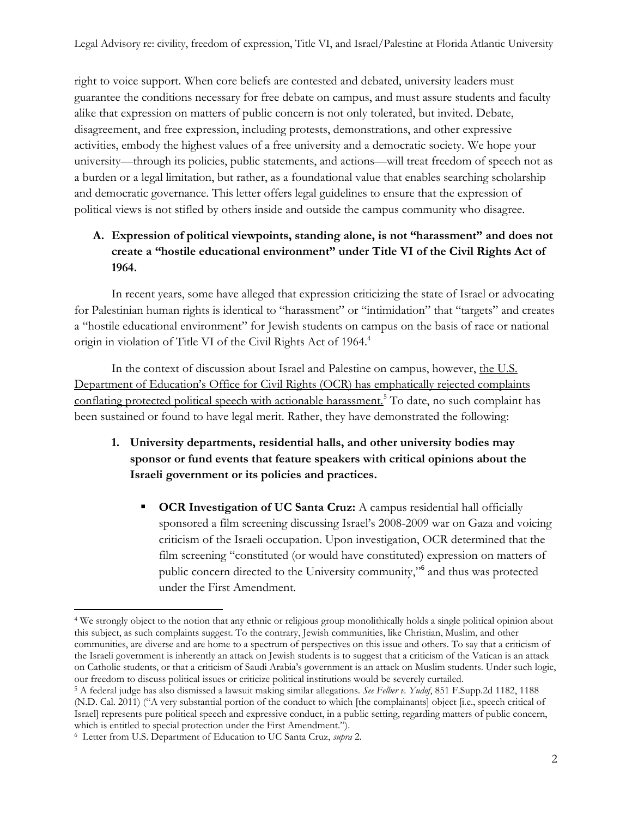right to voice support. When core beliefs are contested and debated, university leaders must guarantee the conditions necessary for free debate on campus, and must assure students and faculty alike that expression on matters of public concern is not only tolerated, but invited. Debate, disagreement, and free expression, including protests, demonstrations, and other expressive activities, embody the highest values of a free university and a democratic society. We hope your university—through its policies, public statements, and actions—will treat freedom of speech not as a burden or a legal limitation, but rather, as a foundational value that enables searching scholarship and democratic governance. This letter offers legal guidelines to ensure that the expression of political views is not stifled by others inside and outside the campus community who disagree.

# **A. Expression of political viewpoints, standing alone, is not "harassment" and does not create a "hostile educational environment" under Title VI of the Civil Rights Act of 1964.**

In recent years, some have alleged that expression criticizing the state of Israel or advocating for Palestinian human rights is identical to "harassment" or "intimidation" that "targets" and creates a "hostile educational environment" for Jewish students on campus on the basis of race or national origin in violation of Title VI of the Civil Rights Act of 1964. 4

In the context of discussion about Israel and Palestine on campus, however, the U.S. Department of Education's Office for Civil Rights (OCR) has emphatically rejected complaints conflating protected political speech with actionable harassment.<sup>5</sup> To date, no such complaint has been sustained or found to have legal merit. Rather, they have demonstrated the following:

- **1. University departments, residential halls, and other university bodies may sponsor or fund events that feature speakers with critical opinions about the Israeli government or its policies and practices.** 
	- **OCR Investigation of UC Santa Cruz:** A campus residential hall officially sponsored a film screening discussing Israel's 2008-2009 war on Gaza and voicing criticism of the Israeli occupation. Upon investigation, OCR determined that the film screening "constituted (or would have constituted) expression on matters of public concern directed to the University community,"<sup>6</sup> and thus was protected under the First Amendment.

l <sup>4</sup> We strongly object to the notion that any ethnic or religious group monolithically holds a single political opinion about this subject, as such complaints suggest. To the contrary, Jewish communities, like Christian, Muslim, and other communities, are diverse and are home to a spectrum of perspectives on this issue and others. To say that a criticism of the Israeli government is inherently an attack on Jewish students is to suggest that a criticism of the Vatican is an attack on Catholic students, or that a criticism of Saudi Arabia's government is an attack on Muslim students. Under such logic, our freedom to discuss political issues or criticize political institutions would be severely curtailed.

<sup>5</sup> A federal judge has also dismissed a lawsuit making similar allegations. *See Felber v. Yudof*, 851 F.Supp.2d 1182, 1188 (N.D. Cal. 2011) ("A very substantial portion of the conduct to which [the complainants] object [i.e., speech critical of Israel] represents pure political speech and expressive conduct, in a public setting, regarding matters of public concern, which is entitled to special protection under the First Amendment.").

<sup>6</sup> Letter from U.S. Department of Education to UC Santa Cruz, *supra* 2.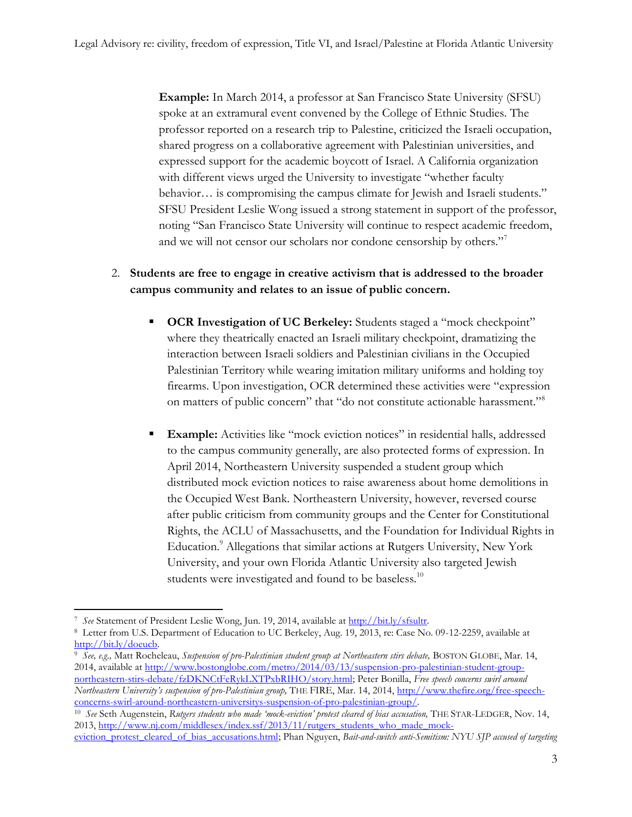**Example:** In March 2014, a professor at San Francisco State University (SFSU) spoke at an extramural event convened by the College of Ethnic Studies. The professor reported on a research trip to Palestine, criticized the Israeli occupation, shared progress on a collaborative agreement with Palestinian universities, and expressed support for the academic boycott of Israel. A California organization with different views urged the University to investigate "whether faculty behavior… is compromising the campus climate for Jewish and Israeli students." SFSU President Leslie Wong issued a strong statement in support of the professor, noting "San Francisco State University will continue to respect academic freedom, and we will not censor our scholars nor condone censorship by others."<sup>7</sup>

# 2. **Students are free to engage in creative activism that is addressed to the broader campus community and relates to an issue of public concern.**

- **OCR Investigation of UC Berkeley:** Students staged a "mock checkpoint" where they theatrically enacted an Israeli military checkpoint, dramatizing the interaction between Israeli soldiers and Palestinian civilians in the Occupied Palestinian Territory while wearing imitation military uniforms and holding toy firearms. Upon investigation, OCR determined these activities were "expression on matters of public concern" that "do not constitute actionable harassment."<sup>8</sup>
- **Example:** Activities like "mock eviction notices" in residential halls, addressed to the campus community generally, are also protected forms of expression. In April 2014, Northeastern University suspended a student group which distributed mock eviction notices to raise awareness about home demolitions in the Occupied West Bank. Northeastern University, however, reversed course after public criticism from community groups and the Center for Constitutional Rights, the ACLU of Massachusetts, and the Foundation for Individual Rights in Education.<sup>9</sup> Allegations that similar actions at Rutgers University, New York University, and your own Florida Atlantic University also targeted Jewish students were investigated and found to be baseless.<sup>10</sup>

l 7 *See* Statement of President Leslie Wong, Jun. 19, 2014, available a[t http://bit.ly/sfsultr.](http://bit.ly/sfsultr)

<sup>8</sup> Letter from U.S. Department of Education to UC Berkeley, Aug. 19, 2013, re: Case No. 09-12-2259, available at [http://bit.ly/doeucb.](http://bit.ly/doeucb)

<sup>9</sup> *See, e.g.,* Matt Rocheleau, *Suspension of pro-Palestinian student group at Northeastern stirs debate,* BOSTON GLOBE, Mar. 14, 2014, available at [http://www.bostonglobe.com/metro/2014/03/13/suspension-pro-palestinian-student-group](http://www.bostonglobe.com/metro/2014/03/13/suspension-pro-palestinian-student-group-northeastern-stirs-debate/fzDKNCtFeRykLXTPxbRIHO/story.html)[northeastern-stirs-debate/fzDKNCtFeRykLXTPxbRIHO/story.html;](http://www.bostonglobe.com/metro/2014/03/13/suspension-pro-palestinian-student-group-northeastern-stirs-debate/fzDKNCtFeRykLXTPxbRIHO/story.html) Peter Bonilla, *Free speech concerns swirl around Northeastern University's suspension of pro-Palestinian group,* THE FIRE, Mar. 14, 2014[, http://www.thefire.org/free-speech](http://www.thefire.org/free-speech-concerns-swirl-around-northeastern-universitys-suspension-of-pro-palestinian-group/)[concerns-swirl-around-northeastern-universitys-suspension-of-pro-palestinian-group/.](http://www.thefire.org/free-speech-concerns-swirl-around-northeastern-universitys-suspension-of-pro-palestinian-group/)

<sup>10</sup> *See* Seth Augenstein, *Rutgers students who made 'mock-eviction' protest cleared of bias accusation,* THE STAR-LEDGER, Nov. 14, 2013, [http://www.nj.com/middlesex/index.ssf/2013/11/rutgers\\_students\\_who\\_made\\_mock-](http://www.nj.com/middlesex/index.ssf/2013/11/rutgers_students_who_made_mock-eviction_protest_cleared_of_bias_accusations.html)

[eviction\\_protest\\_cleared\\_of\\_bias\\_accusations.html;](http://www.nj.com/middlesex/index.ssf/2013/11/rutgers_students_who_made_mock-eviction_protest_cleared_of_bias_accusations.html) Phan Nguyen, *Bait-and-switch anti-Semitism: NYU SJP accused of targeting*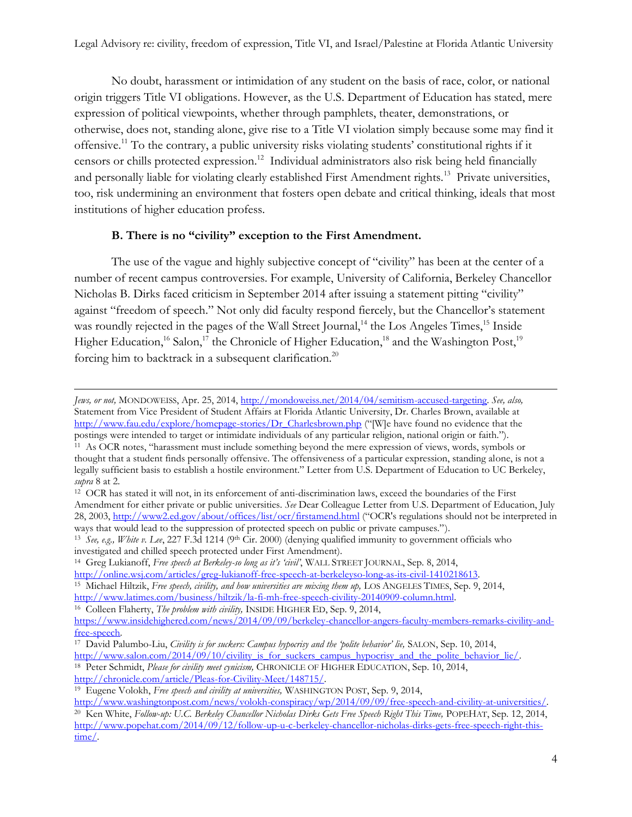No doubt, harassment or intimidation of any student on the basis of race, color, or national origin triggers Title VI obligations. However, as the U.S. Department of Education has stated, mere expression of political viewpoints, whether through pamphlets, theater, demonstrations, or otherwise, does not, standing alone, give rise to a Title VI violation simply because some may find it offensive. <sup>11</sup> To the contrary, a public university risks violating students' constitutional rights if it censors or chills protected expression.<sup>12</sup> Individual administrators also risk being held financially and personally liable for violating clearly established First Amendment rights.<sup>13</sup> Private universities, too, risk undermining an environment that fosters open debate and critical thinking, ideals that most institutions of higher education profess.

#### **B. There is no "civility" exception to the First Amendment.**

The use of the vague and highly subjective concept of "civility" has been at the center of a number of recent campus controversies. For example, University of California, Berkeley Chancellor Nicholas B. Dirks faced criticism in September 2014 after issuing a statement pitting "civility" against "freedom of speech." Not only did faculty respond fiercely, but the Chancellor's statement was roundly rejected in the pages of the Wall Street Journal,<sup>14</sup> the Los Angeles Times,<sup>15</sup> Inside Higher Education,<sup>16</sup> Salon,<sup>17</sup> the Chronicle of Higher Education,<sup>18</sup> and the Washington Post,<sup>19</sup> forcing him to backtrack in a subsequent clarification.<sup>20</sup>

l

*Jews, or not,* MONDOWEISS, Apr. 25, 2014, [http://mondoweiss.net/2014/04/semitism-accused-targeting.](http://mondoweiss.net/2014/04/semitism-accused-targeting) *See, also,*  Statement from Vice President of Student Affairs at Florida Atlantic University, Dr. Charles Brown, available at [http://www.fau.edu/explore/homepage-stories/Dr\\_Charlesbrown.php](http://www.fau.edu/explore/homepage-stories/Dr_Charlesbrown.php) ("[W]e have found no evidence that the postings were intended to target or intimidate individuals of any particular religion, national origin or faith.").

<sup>11</sup> As OCR notes, "harassment must include something beyond the mere expression of views, words, symbols or thought that a student finds personally offensive. The offensiveness of a particular expression, standing alone, is not a legally sufficient basis to establish a hostile environment." Letter from U.S. Department of Education to UC Berkeley, *supra* 8 at 2.

<sup>12</sup> OCR has stated it will not, in its enforcement of anti-discrimination laws, exceed the boundaries of the First Amendment for either private or public universities. *See* Dear Colleague Letter from U.S. Department of Education, July 28, 2003,<http://www2.ed.gov/about/offices/list/ocr/firstamend.html> ("OCR's regulations should not be interpreted in ways that would lead to the suppression of protected speech on public or private campuses.").

<sup>&</sup>lt;sup>13</sup> See, e.g., White v. Lee, 227 F.3d 1214 (9<sup>th</sup> Cir. 2000) (denying qualified immunity to government officials who investigated and chilled speech protected under First Amendment).

<sup>&</sup>lt;sup>14</sup> Greg Lukianoff, *Free speech at Berkeley-so long as it's 'civil'*, WALL STREET JOURNAL, Sep. 8, 2014,<br>http://online.wsj.com/articles/greg-lukianoff-free-speech-at-berkeleyso-long-as-its-civil-1410218613.

<sup>&</sup>lt;sup>15</sup> Michael Hiltzik, *Free speech, civility, and how universities are mixing them up*, LOS ANGELES TIMES, Sep. 9, 2014, http://www.latimes.com/business/hiltzik/la-fi-mh-free-speech-civility-20140909-column.html.

<sup>&</sup>lt;sup>16</sup> Colleen Flaherty, *The problem with civility*, *INSIDE HIGHER ED*, Sep. 9, 2014,

[https://www.insidehighered.com/news/2014/09/09/berkeley-chancellor-angers-faculty-members-remarks-civility-and](https://www.insidehighered.com/news/2014/09/09/berkeley-chancellor-angers-faculty-members-remarks-civility-and-free-speech)[free-speech.](https://www.insidehighered.com/news/2014/09/09/berkeley-chancellor-angers-faculty-members-remarks-civility-and-free-speech)

<sup>17</sup> David Palumbo-Liu, *Civility is for suckers: Campus hypocrisy and the 'polite behavior' lie,* SALON, Sep. 10, 2014,

[http://www.salon.com/2014/09/10/civility\\_is\\_for\\_suckers\\_campus\\_hypocrisy\\_and\\_the\\_polite\\_behavior\\_lie/.](http://www.salon.com/2014/09/10/civility_is_for_suckers_campus_hypocrisy_and_the_polite_behavior_lie/) 18 Peter Schmidt, *Please for civility meet cynicism*, CHRONICLE OF HIGHER EDUCATION, Sep. 10, 2014,

[http://chronicle.com/article/Pleas-for-Civility-Meet/148715/.](http://chronicle.com/article/Pleas-for-Civility-Meet/148715/)

<sup>19</sup> Eugene Volokh, *Free speech and civility at universities,* WASHINGTON POST, Sep. 9, 2014,

[http://www.washingtonpost.com/news/volokh-conspiracy/wp/2014/09/09/free-speech-and-civility-at-universities/.](http://www.washingtonpost.com/news/volokh-conspiracy/wp/2014/09/09/free-speech-and-civility-at-universities/)

<sup>&</sup>lt;sup>20</sup> Ken White, *Follow-up: U.C. Berkeley Chancellor Nicholas Dirks Gets Free Speech Right This Time, POPEHAT, Sep. 12, 2014,* [http://www.popehat.com/2014/09/12/follow-up-u-c-berkeley-chancellor-nicholas-dirks-gets-free-speech-right-this](http://www.popehat.com/2014/09/12/follow-up-u-c-berkeley-chancellor-nicholas-dirks-gets-free-speech-right-this-time/)[time/.](http://www.popehat.com/2014/09/12/follow-up-u-c-berkeley-chancellor-nicholas-dirks-gets-free-speech-right-this-time/)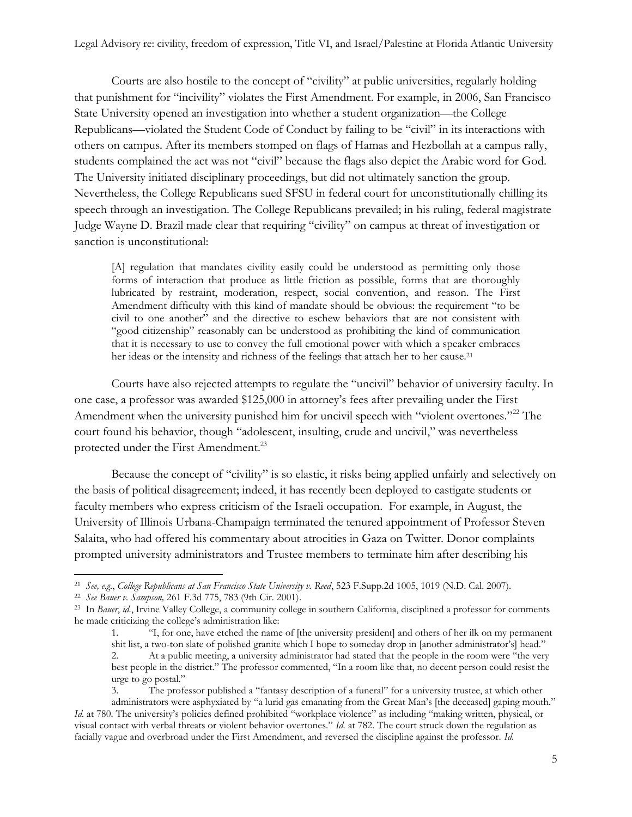Courts are also hostile to the concept of "civility" at public universities, regularly holding that punishment for "incivility" violates the First Amendment. For example, in 2006, San Francisco State University opened an investigation into whether a student organization—the College Republicans—violated the Student Code of Conduct by failing to be "civil" in its interactions with others on campus. After its members stomped on flags of Hamas and Hezbollah at a campus rally, students complained the act was not "civil" because the flags also depict the Arabic word for God. The University initiated disciplinary proceedings, but did not ultimately sanction the group. Nevertheless, the College Republicans sued SFSU in federal court for unconstitutionally chilling its speech through an investigation. The College Republicans prevailed; in his ruling, federal magistrate Judge Wayne D. Brazil made clear that requiring "civility" on campus at threat of investigation or sanction is unconstitutional:

[A] regulation that mandates civility easily could be understood as permitting only those forms of interaction that produce as little friction as possible, forms that are thoroughly lubricated by restraint, moderation, respect, social convention, and reason. The First Amendment difficulty with this kind of mandate should be obvious: the requirement "to be civil to one another" and the directive to eschew behaviors that are not consistent with "good citizenship" reasonably can be understood as prohibiting the kind of communication that it is necessary to use to convey the full emotional power with which a speaker embraces her ideas or the intensity and richness of the feelings that attach her to her cause.<sup>21</sup>

Courts have also rejected attempts to regulate the "uncivil" behavior of university faculty. In one case, a professor was awarded \$125,000 in attorney's fees after prevailing under the First Amendment when the university punished him for uncivil speech with "violent overtones."<sup>22</sup> The court found his behavior, though "adolescent, insulting, crude and uncivil," was nevertheless protected under the First Amendment.<sup>23</sup>

Because the concept of "civility" is so elastic, it risks being applied unfairly and selectively on the basis of political disagreement; indeed, it has recently been deployed to castigate students or faculty members who express criticism of the Israeli occupation. For example, in August, the University of Illinois Urbana-Champaign terminated the tenured appointment of Professor Steven Salaita, who had offered his commentary about atrocities in Gaza on Twitter. Donor complaints prompted university administrators and Trustee members to terminate him after describing his

l

3. The professor published a "fantasy description of a funeral" for a university trustee, at which other

<sup>21</sup> *See, e.g.*, *College Republicans at San Francisco State University v. Reed*, 523 F.Supp.2d 1005, 1019 (N.D. Cal. 2007).

<sup>22</sup> *See Bauer v. Sampson,* 261 F.3d 775, 783 (9th Cir. 2001).

<sup>23</sup> In *Bauer*, *id.*, Irvine Valley College, a community college in southern California, disciplined a professor for comments he made criticizing the college's administration like:

<sup>1.</sup> "I, for one, have etched the name of [the university president] and others of her ilk on my permanent shit list, a two-ton slate of polished granite which I hope to someday drop in [another administrator's] head."

<sup>2.</sup> At a public meeting, a university administrator had stated that the people in the room were "the very best people in the district." The professor commented, "In a room like that, no decent person could resist the urge to go postal."

administrators were asphyxiated by "a lurid gas emanating from the Great Man's [the deceased] gaping mouth." *Id.* at 780. The university's policies defined prohibited "workplace violence" as including "making written, physical, or visual contact with verbal threats or violent behavior overtones." *Id.* at 782. The court struck down the regulation as facially vague and overbroad under the First Amendment, and reversed the discipline against the professor. *Id.*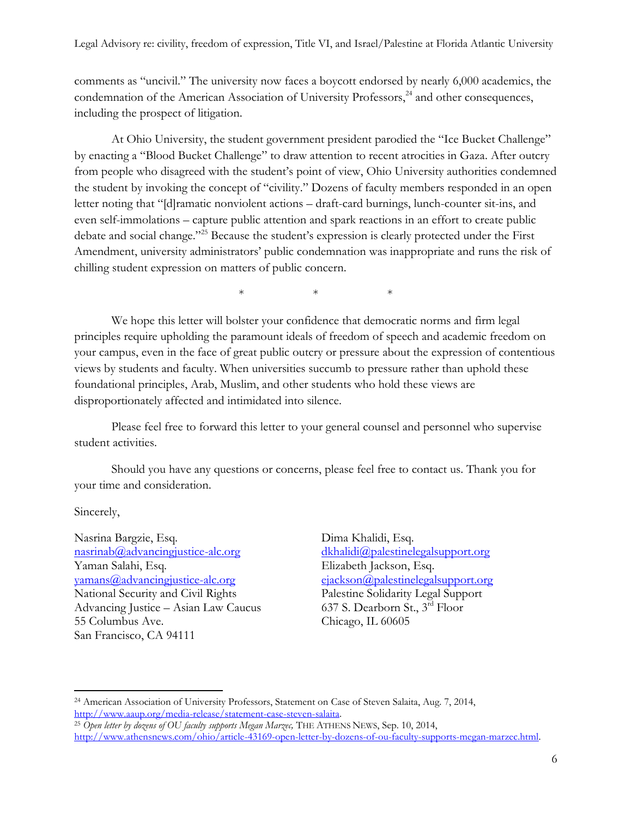comments as "uncivil." The university now faces a boycott endorsed by nearly 6,000 academics, the condemnation of the American Association of University Professors,<sup>24</sup> and other consequences, including the prospect of litigation.

At Ohio University, the student government president parodied the "Ice Bucket Challenge" by enacting a "Blood Bucket Challenge" to draw attention to recent atrocities in Gaza. After outcry from people who disagreed with the student's point of view, Ohio University authorities condemned the student by invoking the concept of "civility." Dozens of faculty members responded in an open letter noting that "[d]ramatic nonviolent actions – draft-card burnings, lunch-counter sit-ins, and even self-immolations – capture public attention and spark reactions in an effort to create public debate and social change."<sup>25</sup> Because the student's expression is clearly protected under the First Amendment, university administrators' public condemnation was inappropriate and runs the risk of chilling student expression on matters of public concern.

 $*$  \* \* \*

We hope this letter will bolster your confidence that democratic norms and firm legal principles require upholding the paramount ideals of freedom of speech and academic freedom on your campus, even in the face of great public outcry or pressure about the expression of contentious views by students and faculty. When universities succumb to pressure rather than uphold these foundational principles, Arab, Muslim, and other students who hold these views are disproportionately affected and intimidated into silence.

Please feel free to forward this letter to your general counsel and personnel who supervise student activities.

Should you have any questions or concerns, please feel free to contact us. Thank you for your time and consideration.

Sincerely,

l

Nasrina Bargzie, Esq. [nasrinab@advancingjustice-alc.org](mailto:nasrinab@advancingjustice-alc.org) Yaman Salahi, Esq. [yamans@advancingjustice-alc.org](mailto:yamans@advancingjustice-alc.org) National Security and Civil Rights Advancing Justice – Asian Law Caucus 55 Columbus Ave. San Francisco, CA 94111

Dima Khalidi, Esq. [dkhalidi@palestinelegalsupport.org](mailto:dkhalidi@palestinelegalsupport.org) Elizabeth Jackson, Esq. [ejackson@palestinelegalsupport.org](mailto:ejackson@palestinelegalsupport.org) Palestine Solidarity Legal Support 637 S. Dearborn St., 3rd Floor Chicago, IL 60605

<sup>24</sup> American Association of University Professors, Statement on Case of Steven Salaita, Aug. 7, 2014, [http://www.aaup.org/media-release/statement-case-steven-salaita.](http://www.aaup.org/media-release/statement-case-steven-salaita)

<sup>25</sup> *Open letter by dozens of OU faculty supports Megan Marzec,* THE ATHENS NEWS, Sep. 10, 2014, [http://www.athensnews.com/ohio/article-43169-open-letter-by-dozens-of-ou-faculty-supports-megan-marzec.html.](http://www.athensnews.com/ohio/article-43169-open-letter-by-dozens-of-ou-faculty-supports-megan-marzec.html)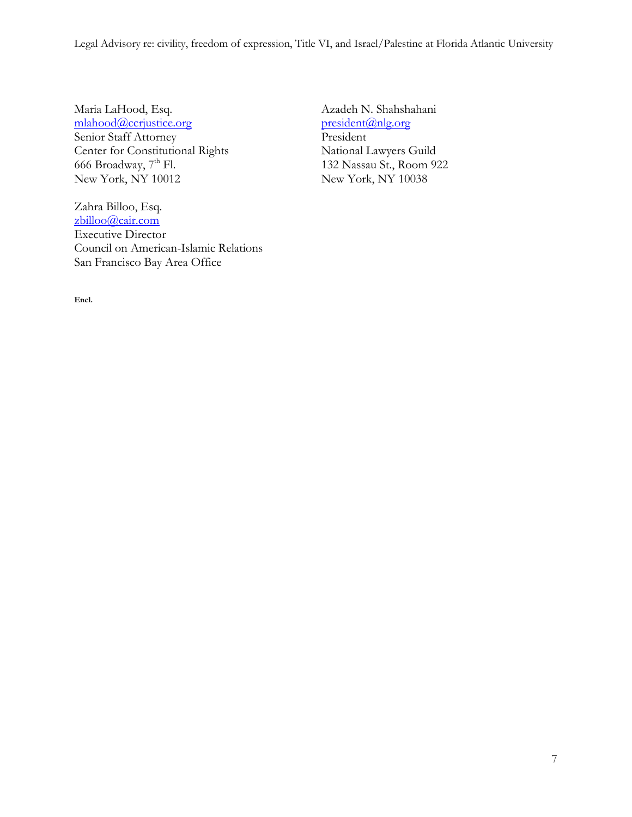Legal Advisory re: civility, freedom of expression, Title VI, and Israel/Palestine at Florida Atlantic University

Maria LaHood, Esq. [mlahood@ccrjustice.org](mailto:mlahood@ccrjustice.org) Senior Staff Attorney Center for Constitutional Rights 666 Broadway,  $7<sup>th</sup>$  Fl. New York, NY 10012

Zahra Billoo, Esq. [zbilloo@cair.com](mailto:zbilloo@cair.com) Executive Director Council on American-Islamic Relations San Francisco Bay Area Office

Azadeh N. Shahshahani [president@nlg.org](mailto:president@nlg.org) President National Lawyers Guild 132 Nassau St., Room 922 New York, NY 10038

**Encl.**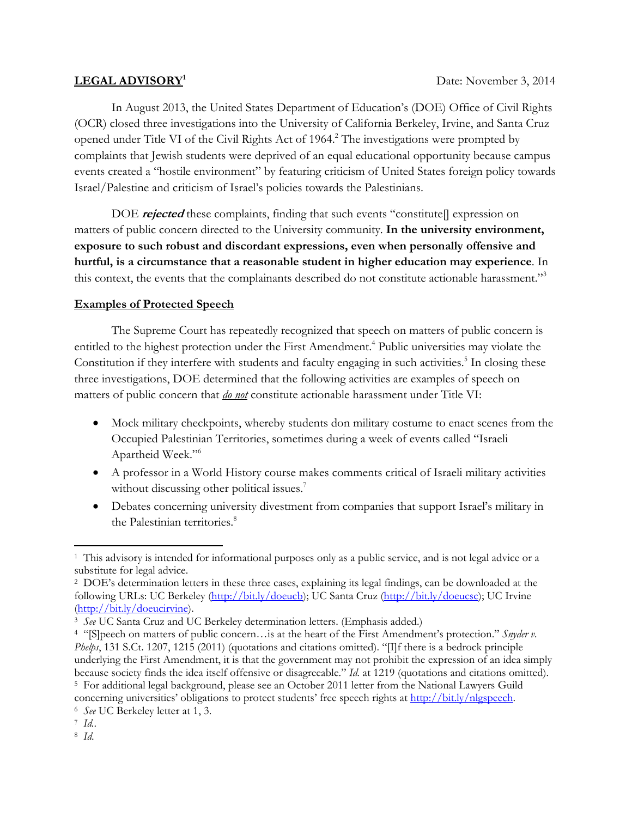#### **LEGAL ADVISORY1**

In August 2013, the United States Department of Education's (DOE) Office of Civil Rights (OCR) closed three investigations into the University of California Berkeley, Irvine, and Santa Cruz opened under Title VI of the Civil Rights Act of 1964.<sup>2</sup> The investigations were prompted by complaints that Jewish students were deprived of an equal educational opportunity because campus events created a "hostile environment" by featuring criticism of United States foreign policy towards Israel/Palestine and criticism of Israel's policies towards the Palestinians.

DOE **rejected** these complaints, finding that such events "constitute[] expression on matters of public concern directed to the University community. **In the university environment, exposure to such robust and discordant expressions, even when personally offensive and hurtful, is a circumstance that a reasonable student in higher education may experience**. In this context, the events that the complainants described do not constitute actionable harassment."<sup>3</sup>

#### **Examples of Protected Speech**

The Supreme Court has repeatedly recognized that speech on matters of public concern is entitled to the highest protection under the First Amendment.<sup>4</sup> Public universities may violate the Constitution if they interfere with students and faculty engaging in such activities.<sup>5</sup> In closing these three investigations, DOE determined that the following activities are examples of speech on matters of public concern that *do not* constitute actionable harassment under Title VI:

- Mock military checkpoints, whereby students don military costume to enact scenes from the Occupied Palestinian Territories, sometimes during a week of events called "Israeli Apartheid Week."6
- x A professor in a World History course makes comments critical of Israeli military activities without discussing other political issues.<sup>7</sup>
- Debates concerning university divestment from companies that support Israel's military in the Palestinian territories.<sup>8</sup>

1 This advisory is intended for informational purposes only as a public service, and is not legal advice or a substitute for legal advice.

<sup>2</sup> DOE's determination letters in these three cases, explaining its legal findings, can be downloaded at the following URLs: UC Berkeley (http://bit.ly/doeucb); UC Santa Cruz (http://bit.ly/doeucsc); UC Irvine (http://bit.ly/doeucirvine).

<sup>3</sup> *See* UC Santa Cruz and UC Berkeley determination letters. (Emphasis added.)

<sup>4 &</sup>quot;[S]peech on matters of public concern…is at the heart of the First Amendment's protection." *Snyder v. Phelps*, 131 S.Ct. 1207, 1215 (2011) (quotations and citations omitted). "[I]f there is a bedrock principle underlying the First Amendment, it is that the government may not prohibit the expression of an idea simply because society finds the idea itself offensive or disagreeable." *Id.* at 1219 (quotations and citations omitted). 5 For additional legal background, please see an October 2011 letter from the National Lawyers Guild

concerning universities' obligations to protect students' free speech rights at <u>http://bit.ly/nlgspeech.</u> 6 *See* UC Berkeley letter at 1, 3. *7 Id.*. 8 *Id.*